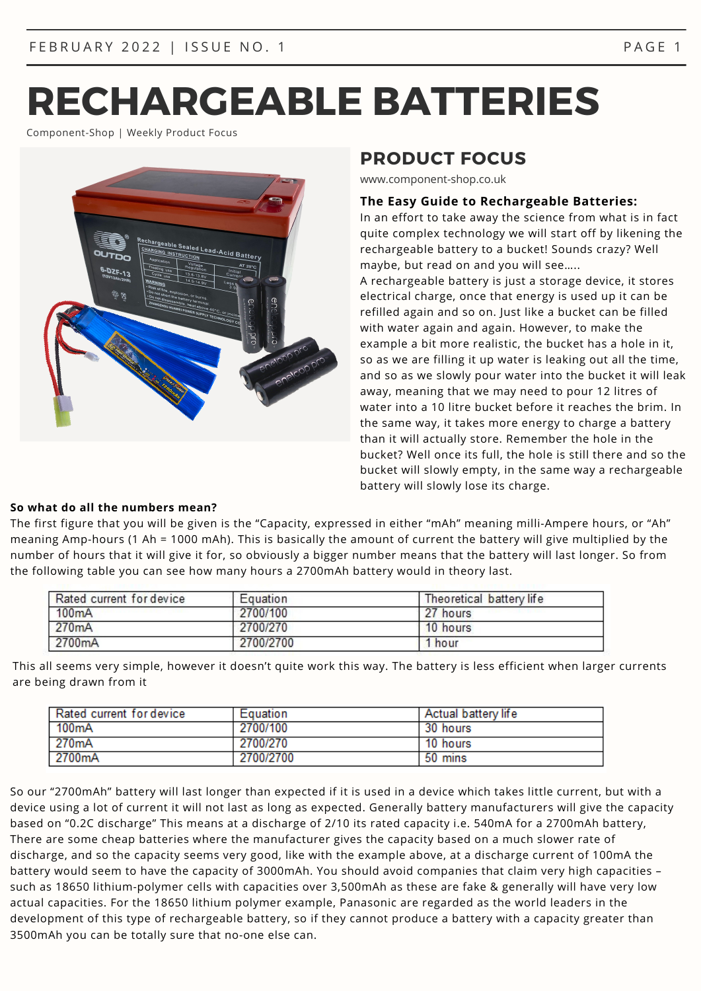Component-Shop | Weekly Product Focus



# **PRODUCT FOCUS**

www.component-shop.co.uk

#### **The Easy Guide to Rechargeable Batteries:**

In an effort to take away the science from what is in fact quite complex technology we will start off by likening the rechargeable battery to a bucket! Sounds crazy? Well maybe, but read on and you will see…..

A rechargeable battery is just a storage device, it stores electrical charge, once that energy is used up it can be refilled again and so on. Just like a bucket can be filled with water again and again. However, to make the example a bit more realistic, the bucket has a hole in it, so as we are filling it up water is leaking out all the time, and so as we slowly pour water into the bucket it will leak away, meaning that we may need to pour 12 litres of water into a 10 litre bucket before it reaches the brim. In the same way, it takes more energy to charge a battery than it will actually store. Remember the hole in the bucket? Well once its full, the hole is still there and so the bucket will slowly empty, in the same way a rechargeable battery will slowly lose its charge.

## **So what do all the numbers mean?**

The first figure that you will be given is the "Capacity, expressed in either "mAh" meaning milli-Ampere hours, or "Ah" meaning Amp-hours (1 Ah = 1000 mAh). This is basically the amount of current the battery will give multiplied by the number of hours that it will give it for, so obviously a bigger number means that the battery will last longer. So from the following table you can see how many hours a 2700mAh battery would in theory last.

| Rated current for device | Equation  | Theoretical battery life |
|--------------------------|-----------|--------------------------|
| 100mA                    | 2700/100  | 27 hours                 |
| 270mA                    | 2700/270  | 10 hours                 |
| 2700mA                   | 2700/2700 | 1 hour                   |

This all seems very simple, however it doesn't quite work this way. The battery is less efficient when larger currents are being drawn from it

| Rated current for device | Equation  | <b>Actual battery life</b> |
|--------------------------|-----------|----------------------------|
| 100mA                    | 2700/100  | 30 hours                   |
| 270 <sub>m</sub> A       | 2700/270  | 10 hours                   |
| 2700 <sub>m</sub> A      | 2700/2700 | 50 mins                    |

So our "2700mAh" battery will last longer than expected if it is used in a device which takes little current, but with a device using a lot of current it will not last as long as expected. Generally battery manufacturers will give the capacity based on "0.2C discharge" This means at a discharge of 2/10 its rated capacity i.e. 540mA for a 2700mAh battery, There are some cheap batteries where the manufacturer gives the capacity based on a much slower rate of discharge, and so the capacity seems very good, like with the example above, at a discharge current of 100mA the battery would seem to have the capacity of 3000mAh. You should avoid companies that claim very high capacities – such as 18650 lithium-polymer cells with capacities over 3,500mAh as these are fake & generally will have very low actual capacities. For the 18650 lithium polymer example, Panasonic are regarded as the world leaders in the development of this type of rechargeable battery, so if they cannot produce a battery with a capacity greater than 3500mAh you can be totally sure that no-one else can.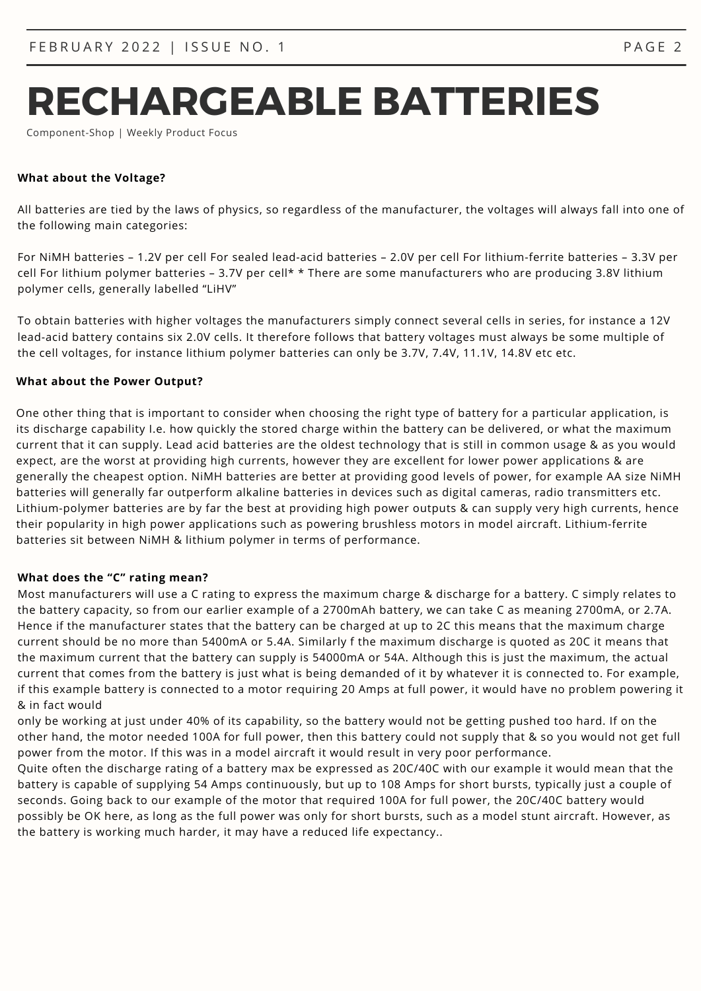# **RECHARGEABLE BATTERIES**

Component-Shop | Weekly Product Focus

#### **What about the Voltage?**

All batteries are tied by the laws of physics, so regardless of the manufacturer, the voltages will always fall into one of the following main categories:

For NiMH batteries – 1.2V per cell For sealed lead-acid batteries – 2.0V per cell For lithium-ferrite batteries – 3.3V per cell For lithium polymer batteries – 3.7V per cell\* \* There are some manufacturers who are producing 3.8V lithium polymer cells, generally labelled "LiHV"

To obtain batteries with higher voltages the manufacturers simply connect several cells in series, for instance a 12V lead-acid battery contains six 2.0V cells. It therefore follows that battery voltages must always be some multiple of the cell voltages, for instance lithium polymer batteries can only be 3.7V, 7.4V, 11.1V, 14.8V etc etc.

#### **What about the Power Output?**

One other thing that is important to consider when choosing the right type of battery for a particular application, is its discharge capability I.e. how quickly the stored charge within the battery can be delivered, or what the maximum current that it can supply. Lead acid batteries are the oldest technology that is still in common usage & as you would expect, are the worst at providing high currents, however they are excellent for lower power applications & are generally the cheapest option. NiMH batteries are better at providing good levels of power, for example AA size NiMH batteries will generally far outperform alkaline batteries in devices such as digital cameras, radio transmitters etc. Lithium-polymer batteries are by far the best at providing high power outputs & can supply very high currents, hence their popularity in high power applications such as powering brushless motors in model aircraft. Lithium-ferrite batteries sit between NiMH & lithium polymer in terms of performance.

#### **What does the "C" rating mean?**

Most manufacturers will use a C rating to express the maximum charge & discharge for a battery. C simply relates to the battery capacity, so from our earlier example of a 2700mAh battery, we can take C as meaning 2700mA, or 2.7A. Hence if the manufacturer states that the battery can be charged at up to 2C this means that the maximum charge current should be no more than 5400mA or 5.4A. Similarly f the maximum discharge is quoted as 20C it means that the maximum current that the battery can supply is 54000mA or 54A. Although this is just the maximum, the actual current that comes from the battery is just what is being demanded of it by whatever it is connected to. For example, if this example battery is connected to a motor requiring 20 Amps at full power, it would have no problem powering it & in fact would

only be working at just under 40% of its capability, so the battery would not be getting pushed too hard. If on the other hand, the motor needed 100A for full power, then this battery could not supply that & so you would not get full power from the motor. If this was in a model aircraft it would result in very poor performance.

Quite often the discharge rating of a battery max be expressed as 20C/40C with our example it would mean that the battery is capable of supplying 54 Amps continuously, but up to 108 Amps for short bursts, typically just a couple of seconds. Going back to our example of the motor that required 100A for full power, the 20C/40C battery would possibly be OK here, as long as the full power was only for short bursts, such as a model stunt aircraft. However, as the battery is working much harder, it may have a reduced life expectancy..